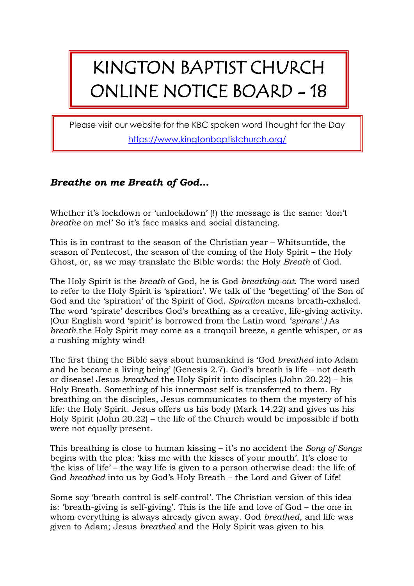## KINGTON BAPTIST CHURCH ONLINE NOTICE BOARD - 18

Please visit our website for the KBC spoken word Thought for the Day <https://www.kingtonbaptistchurch.org/>

## *Breathe on me Breath of God…*

Whether it's lockdown or 'unlockdown' (!) the message is the same: 'don't *breathe* on me!' So it's face masks and social distancing.

This is in contrast to the season of the Christian year – Whitsuntide, the season of Pentecost, the season of the coming of the Holy Spirit – the Holy Ghost, or, as we may translate the Bible words: the Holy *Breath* of God.

The Holy Spirit is the *breath* of God, he is God *breathing-out*. The word used to refer to the Holy Spirit is 'spiration'. We talk of the 'begetting' of the Son of God and the 'spiration' of the Spirit of God. *Spiration* means breath-exhaled. The word 'spirate' describes God's breathing as a creative, life-giving activity. (Our English word 'spirit' is borrowed from the Latin word *'spirare'.)* As *breath* the Holy Spirit may come as a tranquil breeze, a gentle whisper, or as a rushing mighty wind!

The first thing the Bible says about humankind is 'God *breathed* into Adam and he became a living being' (Genesis 2.7). God's breath is life – not death or disease! Jesus *breathed* the Holy Spirit into disciples (John 20.22) – his Holy Breath. Something of his innermost self is transferred to them. By breathing on the disciples, Jesus communicates to them the mystery of his life: the Holy Spirit. Jesus offers us his body (Mark 14.22) and gives us his Holy Spirit (John 20.22) – the life of the Church would be impossible if both were not equally present.

This breathing is close to human kissing – it's no accident the *Song of Songs* begins with the plea: 'kiss me with the kisses of your mouth'. It's close to 'the kiss of life' – the way life is given to a person otherwise dead: the life of God *breathed* into us by God's Holy Breath – the Lord and Giver of Life!

Some say 'breath control is self-control'. The Christian version of this idea is: 'breath-giving is self-giving'. This is the life and love of God – the one in whom everything is always already given away. God *breathed*, and life was given to Adam; Jesus *breathed* and the Holy Spirit was given to his